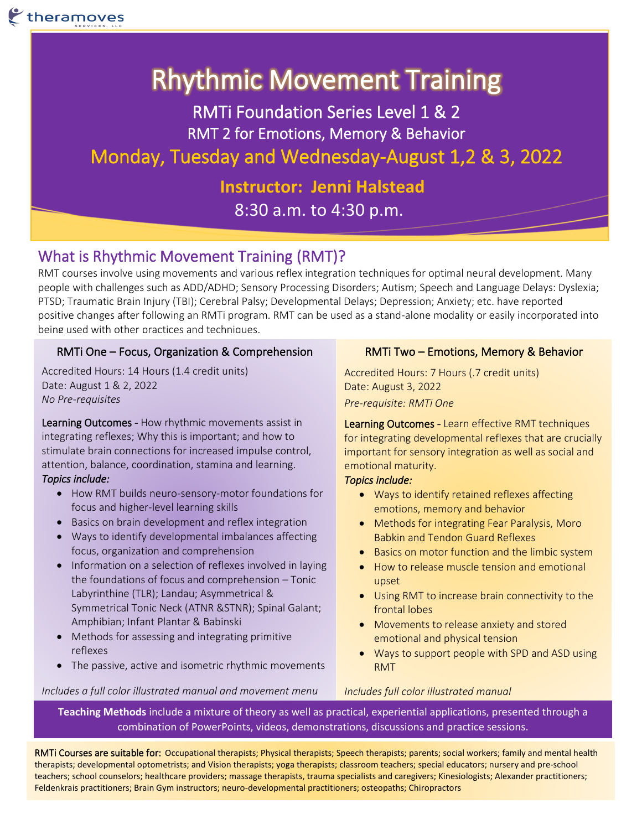# Rhythmic Movement Training

RMTi Foundation Series Level 1 & 2 RMT 2 for Emotions, Memory & Behavior Monday, Tuesday and Wednesday-August 1,2 & 3, 2022

> **Instructor: Jenni Halstead** 8:30 a.m. to 4:30 p.m.

## What is Rhythmic Movement Training (RMT)?

RMT courses involve using movements and various reflex integration techniques for optimal neural development. Many people with challenges such as ADD/ADHD; Sensory Processing Disorders; Autism; Speech and Language Delays: Dyslexia; PTSD; Traumatic Brain Injury (TBI); Cerebral Palsy; Developmental Delays; Depression; Anxiety; etc. have reported positive changes after following an RMTi program. RMT can be used as a stand-alone modality or easily incorporated into being used with other practices and techniques.

## RMTi One – Focus, Organization & Comprehension

Accredited Hours: 14 Hours (1.4 credit units) Date: August 1 & 2, 2022 *No Pre-requisites*

Learning Outcomes - How rhythmic movements assist in integrating reflexes; Why this is important; and how to stimulate brain connections for increased impulse control, attention, balance, coordination, stamina and learning. *Topics include:* 

- How RMT builds neuro-sensory-motor foundations for focus and higher-level learning skills
- Basics on brain development and reflex integration
- Ways to identify developmental imbalances affecting focus, organization and comprehension
- Information on a selection of reflexes involved in laying the foundations of focus and comprehension – Tonic Labyrinthine (TLR); Landau; Asymmetrical & Symmetrical Tonic Neck (ATNR &STNR); Spinal Galant; Amphibian; Infant Plantar & Babinski
- Methods for assessing and integrating primitive reflexes
- The passive, active and isometric rhythmic movements

#### *Includes a full color illustrated manual and movement menu*

### RMTi Two – Emotions, Memory & Behavior

Accredited Hours: 7 Hours (.7 credit units) Date: August 3, 2022 *Pre-requisite: RMTi One*

Learning Outcomes - Learn effective RMT techniques for integrating developmental reflexes that are crucially important for sensory integration as well as social and emotional maturity.

#### *Topics include:*

- Ways to identify retained reflexes affecting emotions, memory and behavior
- Methods for integrating Fear Paralysis, Moro Babkin and Tendon Guard Reflexes
- Basics on motor function and the limbic system
- How to release muscle tension and emotional upset
- Using RMT to increase brain connectivity to the frontal lobes
- Movements to release anxiety and stored emotional and physical tension
- Ways to support people with SPD and ASD using RMT

#### *Includes full color illustrated manual*

**Teaching Methods** include a mixture of theory as well as practical, experiential applications, presented through a combination of PowerPoints, videos, demonstrations, discussions and practice sessions.

RMTi Courses are suitable for: Occupational therapists; Physical therapists; Speech therapists; parents; social workers; family and mental health therapists; developmental optometrists; and Vision therapists; yoga therapists; classroom teachers; special educators; nursery and pre-school teachers; school counselors; healthcare providers; massage therapists, trauma specialists and caregivers; Kinesiologists; Alexander practitioners; Feldenkrais practitioners; Brain Gym instructors; neuro-developmental practitioners; osteopaths; Chiropractors